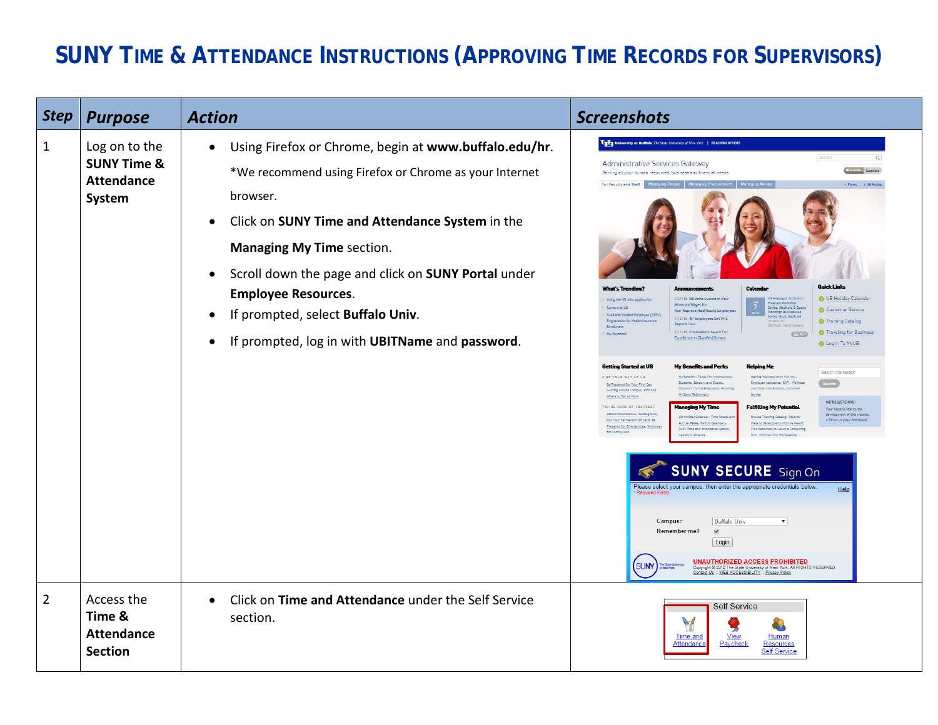## **SUNY TIME & ATTENDANCE INSTRUCTIONS (APPROVING TIME RECORDS FOR SUPERVISORS)**

| <b>Step</b>    | <b>Purpose</b>                                                         | <b>Action</b>                                                                                                                                                                                                                                                                                                                                                                                                | <b>Screenshots</b>                                                                                                                                                                                                                                                                                                                                                                                                                                                                                                                                                                                                                                                                                                                                                                                                                                                                                                                                                                                                                                                                                                                                                                                                                                                                                                                                                                                                                                                                                                                                                                                                                                                                                                                                                                                                                                                                                                                                                                                                                                                                                                                                                                                                                                                                                                                                                                                     |
|----------------|------------------------------------------------------------------------|--------------------------------------------------------------------------------------------------------------------------------------------------------------------------------------------------------------------------------------------------------------------------------------------------------------------------------------------------------------------------------------------------------------|--------------------------------------------------------------------------------------------------------------------------------------------------------------------------------------------------------------------------------------------------------------------------------------------------------------------------------------------------------------------------------------------------------------------------------------------------------------------------------------------------------------------------------------------------------------------------------------------------------------------------------------------------------------------------------------------------------------------------------------------------------------------------------------------------------------------------------------------------------------------------------------------------------------------------------------------------------------------------------------------------------------------------------------------------------------------------------------------------------------------------------------------------------------------------------------------------------------------------------------------------------------------------------------------------------------------------------------------------------------------------------------------------------------------------------------------------------------------------------------------------------------------------------------------------------------------------------------------------------------------------------------------------------------------------------------------------------------------------------------------------------------------------------------------------------------------------------------------------------------------------------------------------------------------------------------------------------------------------------------------------------------------------------------------------------------------------------------------------------------------------------------------------------------------------------------------------------------------------------------------------------------------------------------------------------------------------------------------------------------------------------------------------------|
| 1              | Log on to the<br><b>SUNY Time &amp;</b><br><b>Attendance</b><br>System | Using Firefox or Chrome, begin at www.buffalo.edu/hr.<br>$\bullet$<br>*We recommend using Firefox or Chrome as your Internet<br>browser.<br>Click on SUNY Time and Attendance System in the<br><b>Managing My Time section.</b><br>Scroll down the page and click on SUNY Portal under<br><b>Employee Resources.</b><br>If prompted, select Buffalo Univ.<br>If prompted, log in with UBITName and password. | University at Buffalo The State University of New York   REACHING OTHERS<br>SEARCH<br><b>Administrative Services Gateway</b><br>INFO FOR: Suppliers<br>Serving all your human resources, business and financial needs<br>For Faculty and Staff<br>> Forms > UB Polic<br><b>Quick Links</b><br>Calenda<br>O UB Holiday Calendar<br>1/27/16 UB Jotns Cuomo tn New<br>UB Employee Assistance<br>Using the UB Jobs Appl<br>Program Workshop<br>Series: Medicald & Estate<br>Mintmum Wages for<br>Careers at UB<br>Customer Service<br>Non-Represented Hourly Emp<br>Planning: Be Prepared<br>Graduate Student Employee (GSE)<br>1/12/16 RF Employees Get W-2<br>Registration for Health Insurance<br><b>D</b> Training Catalog<br><b>Reports Now</b><br>1/11/16 Chancellor's Award For<br><sup>6</sup> Traveling for Business<br>My Payoheol<br><b>Excellence In Classified Service</b><br>Log In To MyUB<br>Getting Started at UB<br><b>My Benefits and Perks</b><br><b>Helping Me</b><br>Search this section<br>FIND YOUR WAY AT UB<br>Making Wellness Work For You<br>My Benefits, Taxes For Internativ<br>Employee Assistance (EAP), Welline<br>Students, Scholars and Guests,<br>Be Prepared for Your First Day<br>Discounts for UB Employees, Planni<br>and Work Life Balance, Custom<br>Getting Around Campus, Find Out<br>My State Retirement<br>Service<br>Where to Eat at Work<br>WE'RE LISTENING<br><b>Managing My Time</b><br>TAKING CARE OF YOU RSELF<br><b>Fulfilling My Potential</b><br>Your input is vital to the<br>Attend Orientations, Getting Paid,<br>development of this websi<br>Browse Training Catalog, Discove<br>Get Your Permanent UB Card, Be<br>> Send us your feedback<br>Accrual Rates, Payroll Calendars,<br>Ways to Develop and Improve Muself<br>Prepared for Emergencies, Resource<br>SUNY Time and Attendance Sistem<br>Find Resources to Learn a Computing<br>for Family Care<br>Leaves of Absence<br>Skill, Improve Your Professional<br><b>SUNY SECURE</b> Sign On<br>Please select your campus, then enter the appropriate credentials below<br>Help<br><b>Required Fields</b><br>Campus:<br><b>Buffalo Univ</b><br>$\blacktriangledown$<br>Remember me?<br>$\overline{\mathcal{C}}$<br>Login<br><u>UNAUTHORIZED ACCESS PROHIBITED</u><br>wright © 2012 The State University of New York, All RIGHTS RESERVED.<br>tact Us :: WEB ACCESSIBILITY :: Privacy Policy |
| $\overline{2}$ | Access the<br>Time &<br><b>Attendance</b><br><b>Section</b>            | Click on Time and Attendance under the Self Service<br>$\bullet$<br>section.                                                                                                                                                                                                                                                                                                                                 | <b>Self Service</b><br>$\sqrt{}$<br>Time and<br><b>View</b><br>Human<br>Attendand<br>Paycheck<br>Resources<br><b>Self Service</b>                                                                                                                                                                                                                                                                                                                                                                                                                                                                                                                                                                                                                                                                                                                                                                                                                                                                                                                                                                                                                                                                                                                                                                                                                                                                                                                                                                                                                                                                                                                                                                                                                                                                                                                                                                                                                                                                                                                                                                                                                                                                                                                                                                                                                                                                      |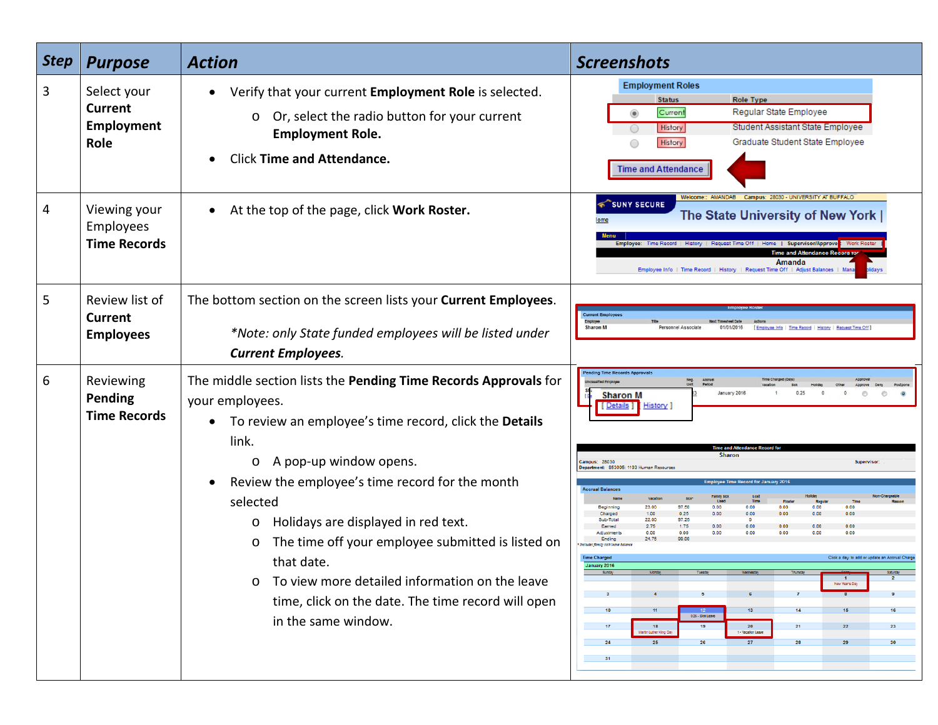| <b>Step</b> | <b>Purpose</b>                                       | <b>Action</b>                                                                                                                                                                                                                                                                                                                                                                                                                                                                                                                               | <b>Screenshots</b>                                                                                                                                                                                                                                                                                                                                                                                                                                                                                                                                                                                                                                                                                                                                                                                                                                                                                                                                                                                           |
|-------------|------------------------------------------------------|---------------------------------------------------------------------------------------------------------------------------------------------------------------------------------------------------------------------------------------------------------------------------------------------------------------------------------------------------------------------------------------------------------------------------------------------------------------------------------------------------------------------------------------------|--------------------------------------------------------------------------------------------------------------------------------------------------------------------------------------------------------------------------------------------------------------------------------------------------------------------------------------------------------------------------------------------------------------------------------------------------------------------------------------------------------------------------------------------------------------------------------------------------------------------------------------------------------------------------------------------------------------------------------------------------------------------------------------------------------------------------------------------------------------------------------------------------------------------------------------------------------------------------------------------------------------|
| 3           | Select your<br><b>Current</b><br>Employment<br>Role  | Verify that your current Employment Role is selected.<br>Or, select the radio button for your current<br>O<br><b>Employment Role.</b><br><b>Click Time and Attendance.</b>                                                                                                                                                                                                                                                                                                                                                                  | <b>Employment Roles</b><br><b>Role Type</b><br><b>Status</b><br>Regular State Employee<br>Current<br>◉<br>Student Assistant State Employee<br>History<br>Graduate Student State Employee<br>History<br><b>Time and Attendance</b>                                                                                                                                                                                                                                                                                                                                                                                                                                                                                                                                                                                                                                                                                                                                                                            |
| 4           | Viewing your<br>Employees<br><b>Time Records</b>     | At the top of the page, click Work Roster.<br>$\bullet$                                                                                                                                                                                                                                                                                                                                                                                                                                                                                     | Welcome:: AMANDAB<br>Campus: 28030 - UNIVERSITY AT BUFFALO<br><b>SUNY SECURE</b><br>The State University of New York  <br>Employee: Time Record   History   Request Time Off   Home   Supervisor/Approver <mark>i</mark> : Work Roster<br><b>Time and Attendance Record for</b><br>Amanda<br>Employee Info   Time Record   History   Request Time Off   Adjust Balances                                                                                                                                                                                                                                                                                                                                                                                                                                                                                                                                                                                                                                      |
| 5           | Review list of<br><b>Current</b><br><b>Employees</b> | The bottom section on the screen lists your Current Employees.<br>*Note: only State funded employees will be listed under<br><b>Current Employees.</b>                                                                                                                                                                                                                                                                                                                                                                                      | <b>Current Employees</b><br><b>Sharon M</b><br>Personnel Associate<br>01/01/2016<br>Employee Info   Time Record   History   Request Time Off                                                                                                                                                                                                                                                                                                                                                                                                                                                                                                                                                                                                                                                                                                                                                                                                                                                                 |
| 6           | Reviewing<br><b>Pending</b><br><b>Time Records</b>   | The middle section lists the Pending Time Records Approvals for<br>your employees.<br>To review an employee's time record, click the Details<br>$\bullet$<br>link.<br>A pop-up window opens.<br>$\circ$<br>Review the employee's time record for the month<br>$\bullet$<br>selected<br>Holidays are displayed in red text.<br>O<br>The time off your employee submitted is listed on<br>O<br>that date.<br>To view more detailed information on the leave<br>O<br>time, click on the date. The time record will open<br>in the same window. | <b>Pending Time Records Approvals</b><br>January 2016<br><b>Sharon M</b><br>[ Details ]<br>History  <br><b>Sharor</b><br><b>Campus: 28030</b><br><b>Superviso</b><br>partment: 853005: 1103 Human Re<br><b>Accrual Balances</b><br>amily Sic<br>Lost<br>23.00<br>97.50<br>0.00<br>0.00<br>0.00<br>0.00<br>0.00<br>Beginning<br>0.25<br>0.00<br>0.00<br>Charged<br>1.00<br>0.00<br>0.00<br>0.00<br>97.25<br>Sub-Total<br>22.00<br>1.75<br>0.00<br>Earned<br>0.00<br>0.00<br>0.00<br>0.00<br>0.00<br>Adjustment<br>0.00<br>0.00<br>0.00<br>Ending<br>99.00<br>24.75<br>Pociudes family sick leave balan<br><b>Time Charged</b><br>Click a day to add or update an Accrual Charge<br>January 2016<br>$\overline{2}$<br>$\frac{1}{\text{New Years Day}}$<br>10<br>16<br>13 <sup>°</sup><br>14<br>15<br>$\frac{12}{0.25 + \text{Sick League}}$<br>20<br>17 <sub>2</sub><br>18<br>19<br>21<br>23<br>22<br>Jarth Luther King Day<br>1 - Vacation Leave<br>25<br>27<br>24<br>28<br>26<br>29<br>30 <sub>o</sub><br>31 |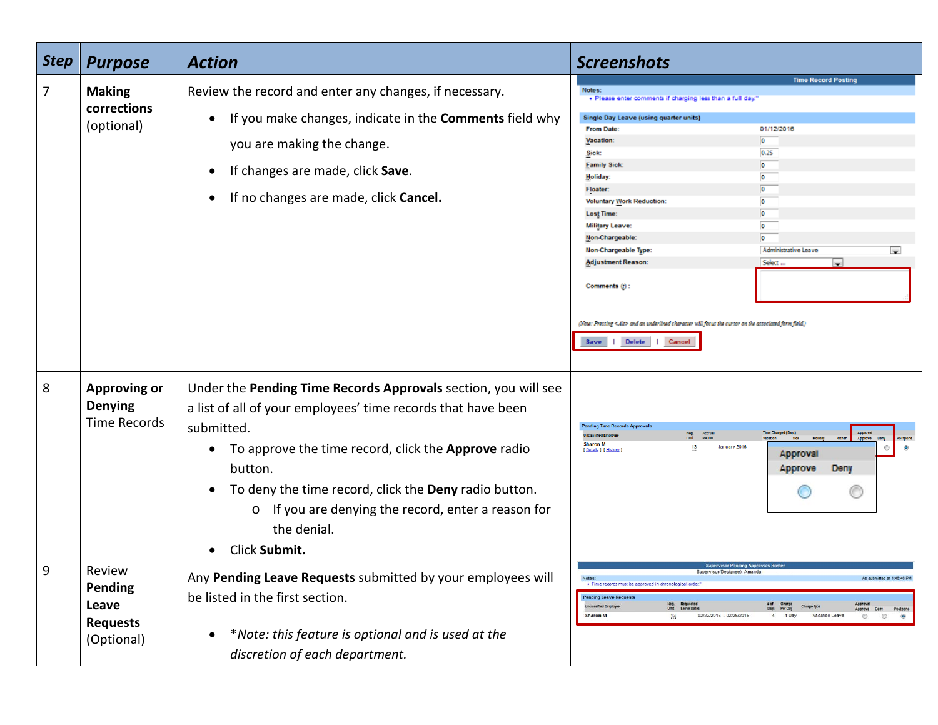| <b>Step</b> | <b>Purpose</b>                                                     | <b>Action</b>                                                                                                                                                                                                                                                                                                                                                                                     | <b>Screenshots</b>                                                                                                                                                                                                                                                                                                                                                                                                                                                                                                                                                                                                                                                                                                                |
|-------------|--------------------------------------------------------------------|---------------------------------------------------------------------------------------------------------------------------------------------------------------------------------------------------------------------------------------------------------------------------------------------------------------------------------------------------------------------------------------------------|-----------------------------------------------------------------------------------------------------------------------------------------------------------------------------------------------------------------------------------------------------------------------------------------------------------------------------------------------------------------------------------------------------------------------------------------------------------------------------------------------------------------------------------------------------------------------------------------------------------------------------------------------------------------------------------------------------------------------------------|
| 7           | <b>Making</b><br>corrections<br>(optional)                         | Review the record and enter any changes, if necessary.<br>If you make changes, indicate in the Comments field why<br>$\bullet$<br>you are making the change.<br>If changes are made, click Save.<br>$\bullet$<br>If no changes are made, click Cancel.                                                                                                                                            | <b>Time Record Posting</b><br>Notes:<br>. Please enter comments if charging less than a full day.<br>Single Day Leave (using quarter units)<br>01/12/2016<br><b>From Date:</b><br>$\bullet$<br>Vacation:<br>0.25<br>Sick:<br>$\bullet$<br><b>Family Sick:</b><br>$\bullet$<br>Holiday:<br>$\overline{\bullet}$<br>Floater:<br>$\overline{0}$<br><b>Voluntary Work Reduction:</b><br>$\bullet$<br><b>Lost Time:</b><br>o<br><b>Military Leave:</b><br>Non-Chargeable<br>Administrative Leave<br>Non-Chargeable Type:<br>÷<br><b>Adjustment Reason:</b><br>Select<br>Comments (r):<br>(Note: Pressing <alt> and an underlined character will focus the cursor on the associated form field.)<br/>Delete<br/>  Cancel<br/>Save</alt> |
| 8           | <b>Approving or</b><br><b>Denying</b><br><b>Time Records</b>       | Under the Pending Time Records Approvals section, you will see<br>a list of all of your employees' time records that have been<br>submitted.<br>To approve the time record, click the Approve radio<br>$\bullet$<br>button.<br>To deny the time record, click the Deny radio button.<br>$\bullet$<br>If you are denying the record, enter a reason for<br>$\circ$<br>the denial.<br>Click Submit. | <b>Pending Time Records Approvals</b><br>Time Charged (Days)<br>Accrual<br>Period<br><b>nclassified Fmold</b><br><b>Sharon M</b><br>13<br>January 2016<br>[ Details ] [ History<br>Approval<br>Approve<br>Deny<br><b>Supervisor Pending Approvals Rost</b>                                                                                                                                                                                                                                                                                                                                                                                                                                                                        |
| 9           | Review<br><b>Pending</b><br>Leave<br><b>Requests</b><br>(Optional) | Any Pending Leave Requests submitted by your employees will<br>be listed in the first section.<br>*Note: this feature is optional and is used at the<br>discretion of each department.                                                                                                                                                                                                            | Supervisor(Designee): Amanda<br>As submitted at 1:48:48 PM<br>Notes:<br>. Time records must be approved in chronological order<br><b>Pending Leave Requests</b><br>Neg. Requested<br>Unit Leave Dates<br># of Charge<br>Days Per Day<br>Approval<br><b>Jnclassified Employer</b><br>Charge Type<br>Days<br>Approve Deny Postpone<br><b>Sharon M</b><br>02/22/2016 - 02/25/2016<br>4 1 Day<br>Vacation Leave<br>13<br>$\circ$<br>$\circledcirc$<br>$\circ$                                                                                                                                                                                                                                                                         |